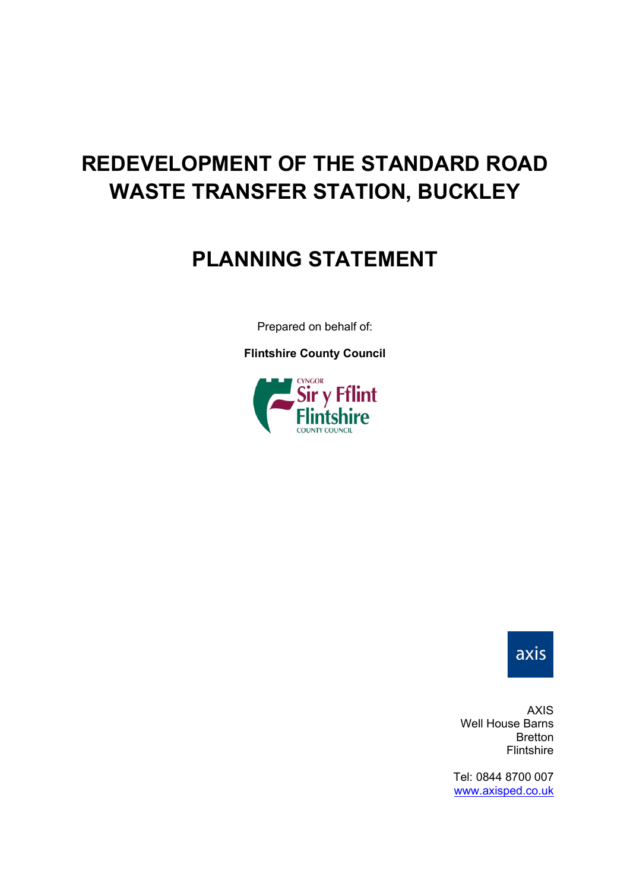# **REDEVELOPMENT OF THE STANDARD ROAD WASTE TRANSFER STATION, BUCKLEY**

# **PLANNING STATEMENT**

Prepared on behalf of:

**Flintshire County Council**





AXIS Well House Barns Bretton Flintshire

Tel: 0844 8700 007 [www.axisped.co.uk](http://www.axisped.co.uk/)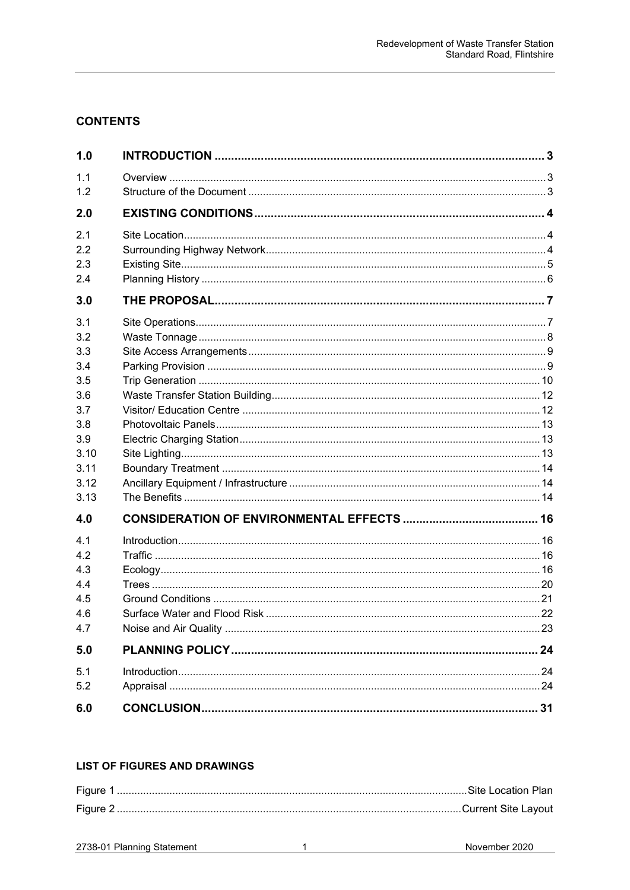# **CONTENTS**

| 1.0        |  |
|------------|--|
| 1.1        |  |
| 1.2        |  |
| 2.0        |  |
| 2.1        |  |
| 2.2        |  |
| 2.3        |  |
| 2.4        |  |
| 3.0        |  |
| 3.1        |  |
| 3.2        |  |
| 3.3        |  |
| 3.4        |  |
| 3.5        |  |
| 3.6        |  |
| 3.7<br>3.8 |  |
| 3.9        |  |
| 3.10       |  |
| 3.11       |  |
| 3.12       |  |
| 3.13       |  |
| 4.0        |  |
| 4.1        |  |
| 4.2        |  |
| 4.3        |  |
| 4.4        |  |
| 4.5        |  |
| 4.6        |  |
| 4.7        |  |
| 5.0        |  |
| 5.1        |  |
| 5.2        |  |
| 6.0        |  |

## **LIST OF FIGURES AND DRAWINGS**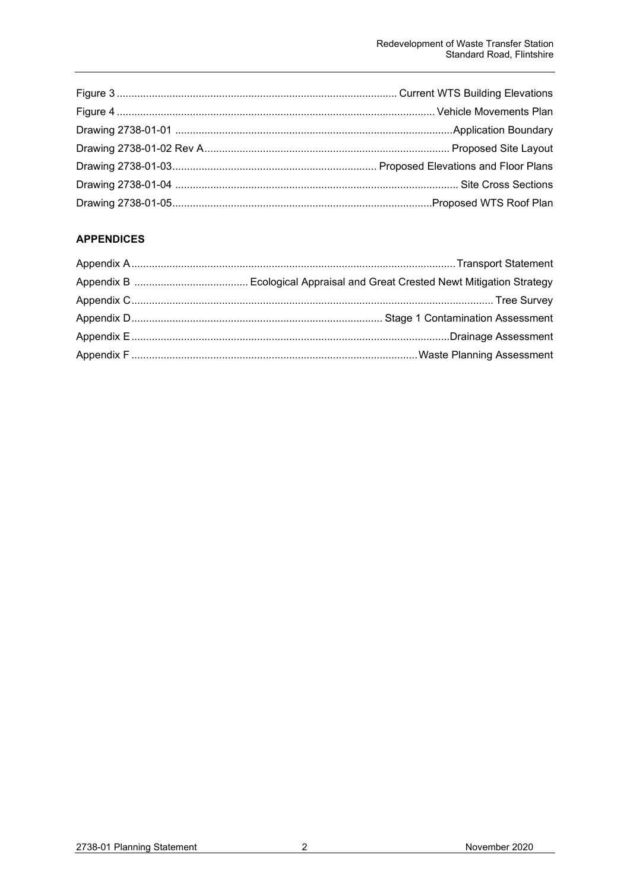# **APPENDICES**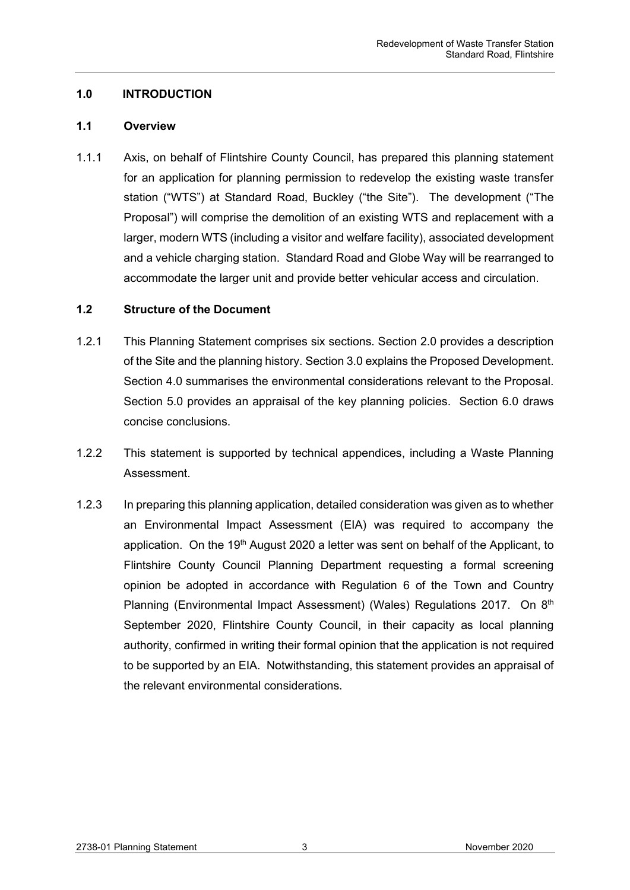# <span id="page-3-0"></span>**1.0 INTRODUCTION**

#### <span id="page-3-1"></span>**1.1 Overview**

1.1.1 Axis, on behalf of Flintshire County Council, has prepared this planning statement for an application for planning permission to redevelop the existing waste transfer station ("WTS") at Standard Road, Buckley ("the Site"). The development ("The Proposal") will comprise the demolition of an existing WTS and replacement with a larger, modern WTS (including a visitor and welfare facility), associated development and a vehicle charging station. Standard Road and Globe Way will be rearranged to accommodate the larger unit and provide better vehicular access and circulation.

## <span id="page-3-2"></span>**1.2 Structure of the Document**

- 1.2.1 This Planning Statement comprises six sections. Section 2.0 provides a description of the Site and the planning history. Section 3.0 explains the Proposed Development. Section 4.0 summarises the environmental considerations relevant to the Proposal. Section 5.0 provides an appraisal of the key planning policies. Section 6.0 draws concise conclusions.
- 1.2.2 This statement is supported by technical appendices, including a Waste Planning **Assessment**
- 1.2.3 In preparing this planning application, detailed consideration was given as to whether an Environmental Impact Assessment (EIA) was required to accompany the application. On the  $19<sup>th</sup>$  August 2020 a letter was sent on behalf of the Applicant, to Flintshire County Council Planning Department requesting a formal screening opinion be adopted in accordance with Regulation 6 of the Town and Country Planning (Environmental Impact Assessment) (Wales) Regulations 2017. On 8<sup>th</sup> September 2020, Flintshire County Council, in their capacity as local planning authority, confirmed in writing their formal opinion that the application is not required to be supported by an EIA. Notwithstanding, this statement provides an appraisal of the relevant environmental considerations.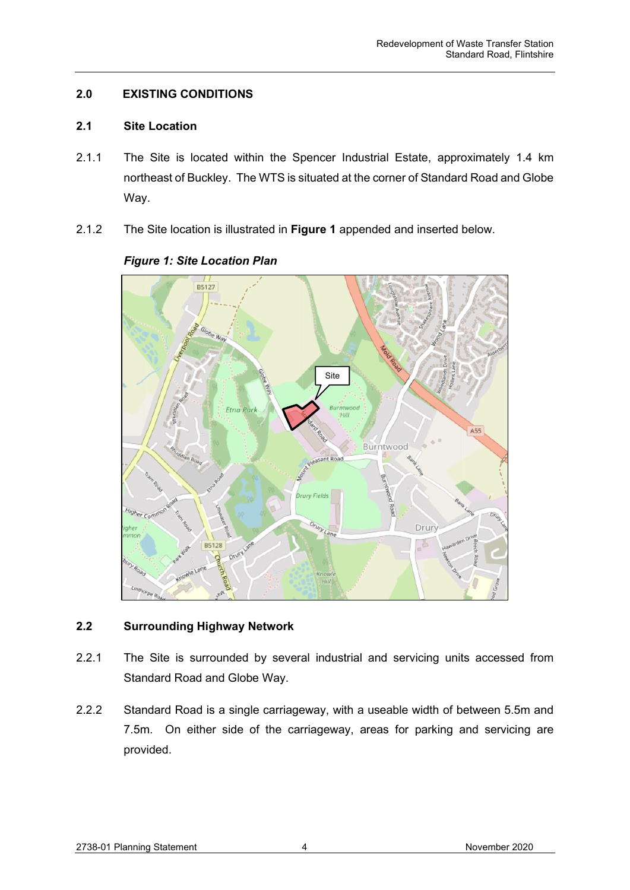# <span id="page-4-0"></span>**2.0 EXISTING CONDITIONS**

#### <span id="page-4-1"></span>**2.1 Site Location**

- 2.1.1 The Site is located within the Spencer Industrial Estate, approximately 1.4 km northeast of Buckley. The WTS is situated at the corner of Standard Road and Globe Way.
- 2.1.2 The Site location is illustrated in **Figure 1** appended and inserted below.



# *Figure 1: Site Location Plan*

# <span id="page-4-2"></span>**2.2 Surrounding Highway Network**

- 2.2.1 The Site is surrounded by several industrial and servicing units accessed from Standard Road and Globe Way.
- 2.2.2 Standard Road is a single carriageway, with a useable width of between 5.5m and 7.5m. On either side of the carriageway, areas for parking and servicing are provided.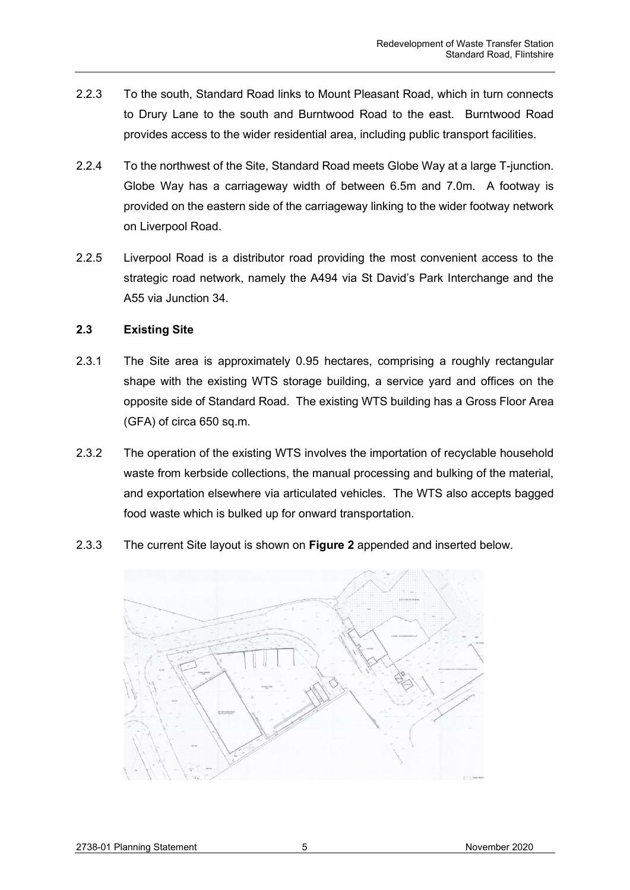- 2.2.3 To the south, Standard Road links to Mount Pleasant Road, which in turn connects to Drury Lane to the south and Burntwood Road to the east. Burntwood Road provides access to the wider residential area, including public transport facilities.
- 2.2.4 To the northwest of the Site, Standard Road meets Globe Way at a large T-junction. Globe Way has a carriageway width of between 6.5m and 7.0m. A footway is provided on the eastern side of the carriageway linking to the wider footway network on Liverpool Road.
- 2.2.5 Liverpool Road is a distributor road providing the most convenient access to the strategic road network, namely the A494 via St David's Park Interchange and the A55 via Junction 34.

# <span id="page-5-0"></span>**2.3 Existing Site**

- 2.3.1 The Site area is approximately 0.95 hectares, comprising a roughly rectangular shape with the existing WTS storage building, a service yard and offices on the opposite side of Standard Road. The existing WTS building has a Gross Floor Area (GFA) of circa 650 sq.m.
- 2.3.2 The operation of the existing WTS involves the importation of recyclable household waste from kerbside collections, the manual processing and bulking of the material, and exportation elsewhere via articulated vehicles. The WTS also accepts bagged food waste which is bulked up for onward transportation.
- 2.3.3 The current Site layout is shown on **Figure 2** appended and inserted below.

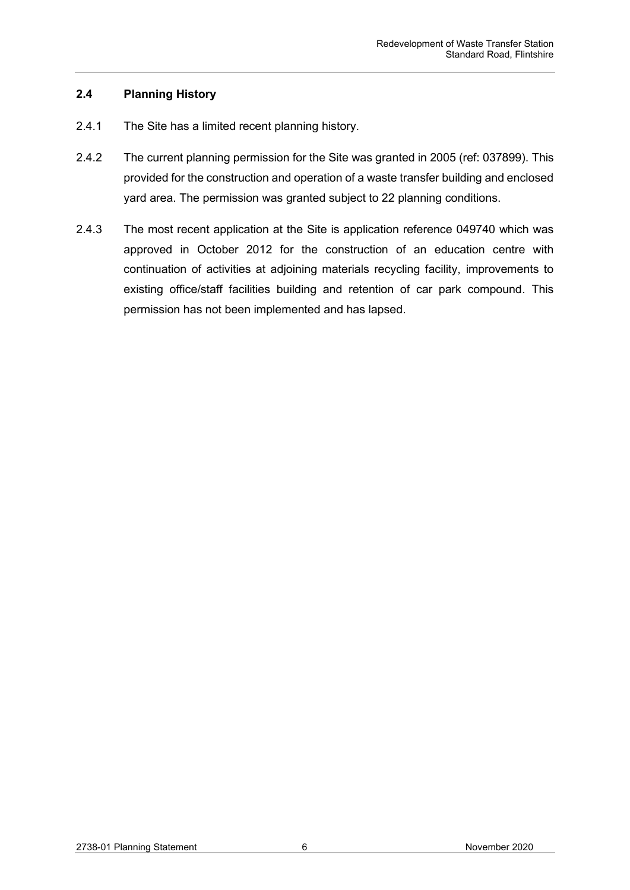# <span id="page-6-0"></span>**2.4 Planning History**

- 2.4.1 The Site has a limited recent planning history.
- 2.4.2 The current planning permission for the Site was granted in 2005 (ref: 037899). This provided for the construction and operation of a waste transfer building and enclosed yard area. The permission was granted subject to 22 planning conditions.
- 2.4.3 The most recent application at the Site is application reference 049740 which was approved in October 2012 for the construction of an education centre with continuation of activities at adjoining materials recycling facility, improvements to existing office/staff facilities building and retention of car park compound. This permission has not been implemented and has lapsed.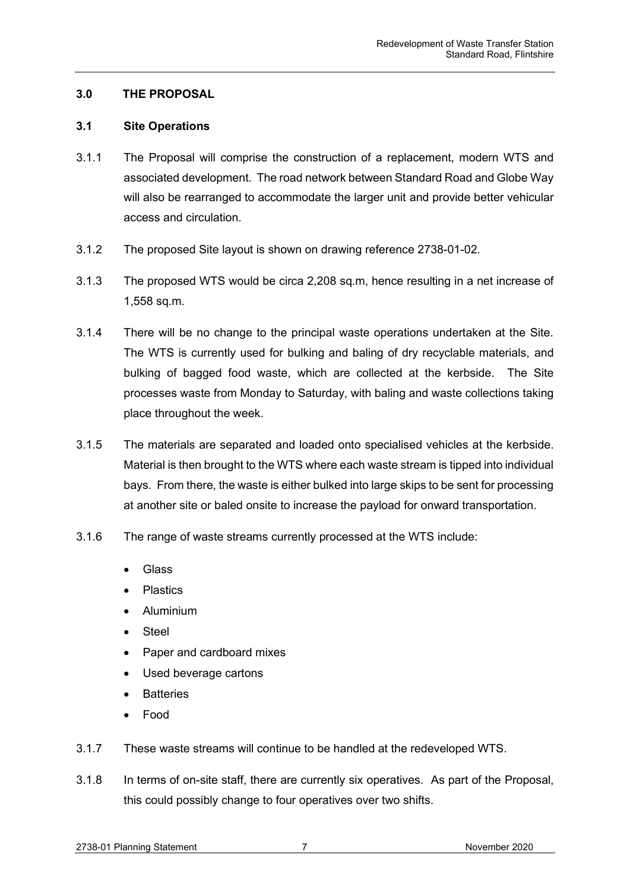# <span id="page-7-0"></span>**3.0 THE PROPOSAL**

## <span id="page-7-1"></span>**3.1 Site Operations**

- 3.1.1 The Proposal will comprise the construction of a replacement, modern WTS and associated development. The road network between Standard Road and Globe Way will also be rearranged to accommodate the larger unit and provide better vehicular access and circulation.
- 3.1.2 The proposed Site layout is shown on drawing reference 2738-01-02.
- 3.1.3 The proposed WTS would be circa 2,208 sq.m, hence resulting in a net increase of 1,558 sq.m.
- 3.1.4 There will be no change to the principal waste operations undertaken at the Site. The WTS is currently used for bulking and baling of dry recyclable materials, and bulking of bagged food waste, which are collected at the kerbside. The Site processes waste from Monday to Saturday, with baling and waste collections taking place throughout the week.
- 3.1.5 The materials are separated and loaded onto specialised vehicles at the kerbside. Material is then brought to the WTS where each waste stream is tipped into individual bays. From there, the waste is either bulked into large skips to be sent for processing at another site or baled onsite to increase the payload for onward transportation.
- 3.1.6 The range of waste streams currently processed at the WTS include:
	- Glass
	- Plastics
	- Aluminium
	- **Steel**
	- Paper and cardboard mixes
	- Used beverage cartons
	- **Batteries**
	- Food
- 3.1.7 These waste streams will continue to be handled at the redeveloped WTS.
- 3.1.8 In terms of on-site staff, there are currently six operatives. As part of the Proposal, this could possibly change to four operatives over two shifts.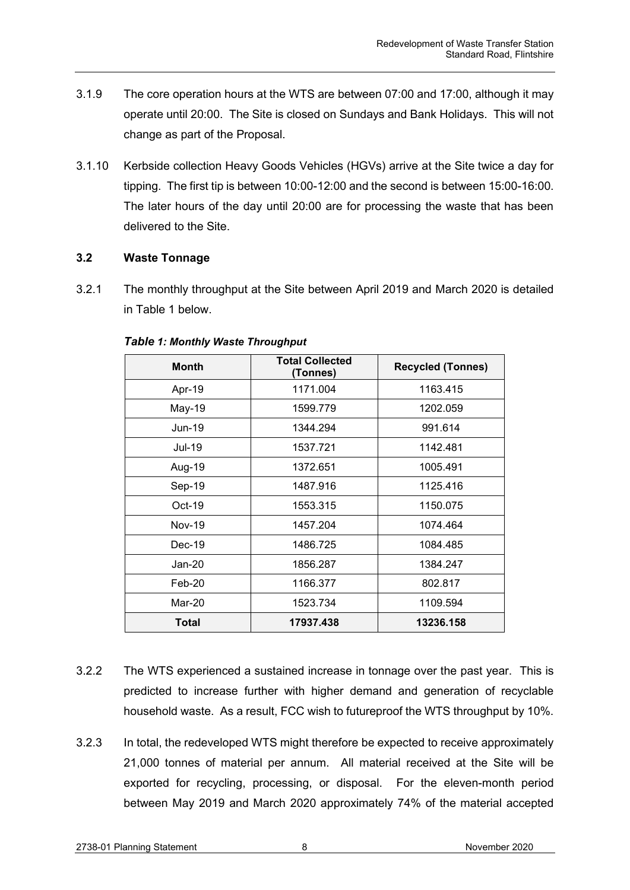- 3.1.9 The core operation hours at the WTS are between 07:00 and 17:00, although it may operate until 20:00. The Site is closed on Sundays and Bank Holidays. This will not change as part of the Proposal.
- 3.1.10 Kerbside collection Heavy Goods Vehicles (HGVs) arrive at the Site twice a day for tipping. The first tip is between 10:00-12:00 and the second is between 15:00-16:00. The later hours of the day until 20:00 are for processing the waste that has been delivered to the Site.

# <span id="page-8-0"></span>**3.2 Waste Tonnage**

3.2.1 The monthly throughput at the Site between April 2019 and March 2020 is detailed in Table 1 below.

| <b>Month</b>  | <b>Total Collected</b><br>(Tonnes) | <b>Recycled (Tonnes)</b> |
|---------------|------------------------------------|--------------------------|
| Apr-19        | 1171.004                           | 1163.415                 |
| May-19        | 1599.779                           | 1202.059                 |
| Jun-19        | 1344.294                           | 991.614                  |
| Jul-19        | 1537.721                           | 1142.481                 |
| Aug-19        | 1372.651                           | 1005.491                 |
| Sep-19        | 1487.916                           | 1125.416                 |
| Oct-19        | 1553.315                           | 1150.075                 |
| <b>Nov-19</b> | 1457.204                           | 1074.464                 |
| $Dec-19$      | 1486.725                           | 1084.485                 |
| Jan-20        | 1856.287                           | 1384.247                 |
| Feb-20        | 1166.377                           | 802.817                  |
| Mar-20        | 1523.734                           | 1109.594                 |
| Total         | 17937.438                          | 13236.158                |

# *Table 1: Monthly Waste Throughput*

- 3.2.2 The WTS experienced a sustained increase in tonnage over the past year. This is predicted to increase further with higher demand and generation of recyclable household waste. As a result, FCC wish to futureproof the WTS throughput by 10%.
- 3.2.3 In total, the redeveloped WTS might therefore be expected to receive approximately 21,000 tonnes of material per annum. All material received at the Site will be exported for recycling, processing, or disposal. For the eleven-month period between May 2019 and March 2020 approximately 74% of the material accepted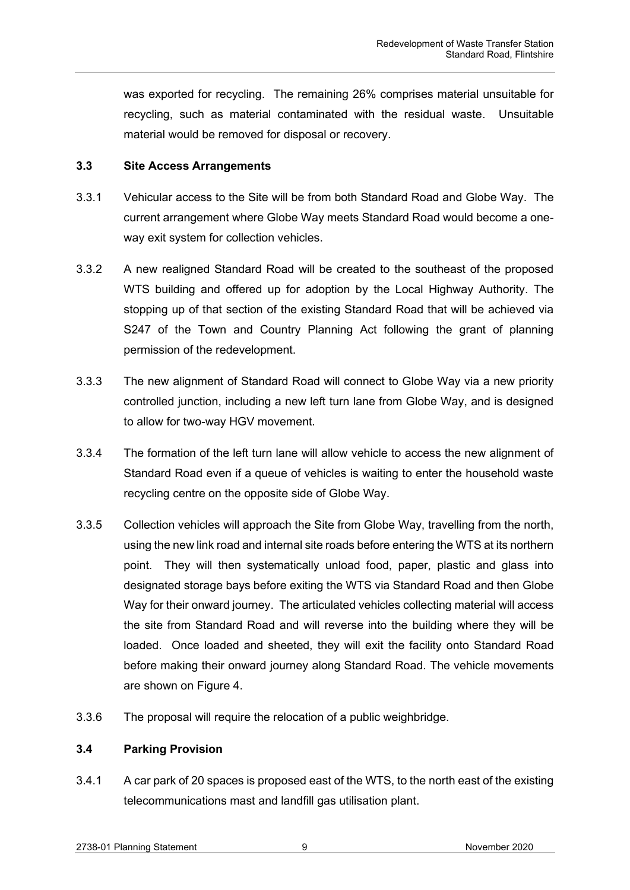was exported for recycling. The remaining 26% comprises material unsuitable for recycling, such as material contaminated with the residual waste. Unsuitable material would be removed for disposal or recovery.

## <span id="page-9-0"></span>**3.3 Site Access Arrangements**

- 3.3.1 Vehicular access to the Site will be from both Standard Road and Globe Way. The current arrangement where Globe Way meets Standard Road would become a oneway exit system for collection vehicles.
- 3.3.2 A new realigned Standard Road will be created to the southeast of the proposed WTS building and offered up for adoption by the Local Highway Authority. The stopping up of that section of the existing Standard Road that will be achieved via S247 of the Town and Country Planning Act following the grant of planning permission of the redevelopment.
- 3.3.3 The new alignment of Standard Road will connect to Globe Way via a new priority controlled junction, including a new left turn lane from Globe Way, and is designed to allow for two-way HGV movement.
- 3.3.4 The formation of the left turn lane will allow vehicle to access the new alignment of Standard Road even if a queue of vehicles is waiting to enter the household waste recycling centre on the opposite side of Globe Way.
- 3.3.5 Collection vehicles will approach the Site from Globe Way, travelling from the north, using the new link road and internal site roads before entering the WTS at its northern point. They will then systematically unload food, paper, plastic and glass into designated storage bays before exiting the WTS via Standard Road and then Globe Way for their onward journey. The articulated vehicles collecting material will access the site from Standard Road and will reverse into the building where they will be loaded. Once loaded and sheeted, they will exit the facility onto Standard Road before making their onward journey along Standard Road. The vehicle movements are shown on Figure 4.
- 3.3.6 The proposal will require the relocation of a public weighbridge.

# <span id="page-9-1"></span>**3.4 Parking Provision**

3.4.1 A car park of 20 spaces is proposed east of the WTS, to the north east of the existing telecommunications mast and landfill gas utilisation plant.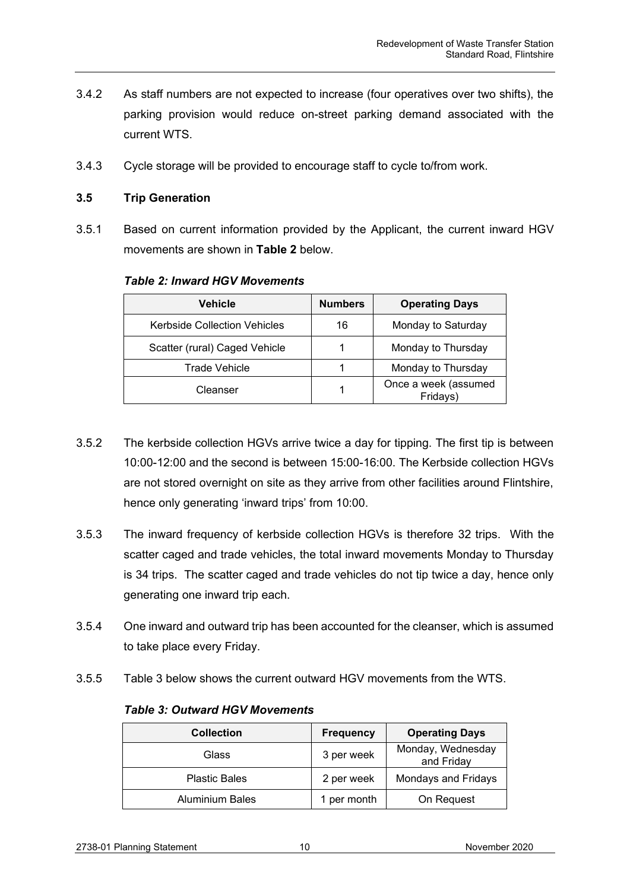- 3.4.2 As staff numbers are not expected to increase (four operatives over two shifts), the parking provision would reduce on-street parking demand associated with the current WTS.
- 3.4.3 Cycle storage will be provided to encourage staff to cycle to/from work.

# <span id="page-10-0"></span>**3.5 Trip Generation**

3.5.1 Based on current information provided by the Applicant, the current inward HGV movements are shown in **Table 2** below.

| <b>Vehicle</b>                      | <b>Numbers</b> | <b>Operating Days</b>            |
|-------------------------------------|----------------|----------------------------------|
| <b>Kerbside Collection Vehicles</b> | 16             | Monday to Saturday               |
| Scatter (rural) Caged Vehicle       |                | Monday to Thursday               |
| Trade Vehicle                       |                | Monday to Thursday               |
| Cleanser                            |                | Once a week (assumed<br>Fridays) |

## *Table 2: Inward HGV Movements*

- 3.5.2 The kerbside collection HGVs arrive twice a day for tipping. The first tip is between 10:00-12:00 and the second is between 15:00-16:00. The Kerbside collection HGVs are not stored overnight on site as they arrive from other facilities around Flintshire, hence only generating 'inward trips' from 10:00.
- 3.5.3 The inward frequency of kerbside collection HGVs is therefore 32 trips. With the scatter caged and trade vehicles, the total inward movements Monday to Thursday is 34 trips. The scatter caged and trade vehicles do not tip twice a day, hence only generating one inward trip each.
- 3.5.4 One inward and outward trip has been accounted for the cleanser, which is assumed to take place every Friday.
- 3.5.5 Table 3 below shows the current outward HGV movements from the WTS.

#### *Table 3: Outward HGV Movements*

| <b>Collection</b>      | <b>Frequency</b> | <b>Operating Days</b>           |
|------------------------|------------------|---------------------------------|
| Glass                  | 3 per week       | Monday, Wednesday<br>and Friday |
| <b>Plastic Bales</b>   | 2 per week       | Mondays and Fridays             |
| <b>Aluminium Bales</b> | 1 per month      | On Request                      |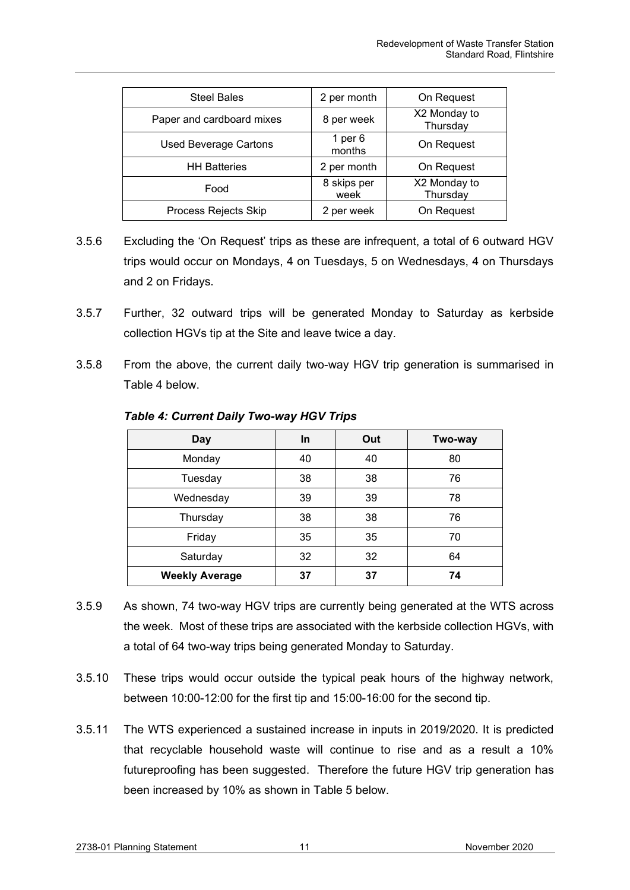| <b>Steel Bales</b>           | 2 per month         | On Request               |
|------------------------------|---------------------|--------------------------|
| Paper and cardboard mixes    | 8 per week          | X2 Monday to<br>Thursday |
| <b>Used Beverage Cartons</b> | 1 per 6<br>months   | On Request               |
| <b>HH Batteries</b>          | 2 per month         | On Request               |
| Food                         | 8 skips per<br>week | X2 Monday to<br>Thursday |
| Process Rejects Skip         | 2 per week          | On Request               |

- 3.5.6 Excluding the 'On Request' trips as these are infrequent, a total of 6 outward HGV trips would occur on Mondays, 4 on Tuesdays, 5 on Wednesdays, 4 on Thursdays and 2 on Fridays.
- 3.5.7 Further, 32 outward trips will be generated Monday to Saturday as kerbside collection HGVs tip at the Site and leave twice a day.
- 3.5.8 From the above, the current daily two-way HGV trip generation is summarised in Table 4 below.

| <b>Day</b>            | In | Out | Two-way |
|-----------------------|----|-----|---------|
| Monday                | 40 | 40  | 80      |
| Tuesday               | 38 | 38  | 76      |
| Wednesday             | 39 | 39  | 78      |
| Thursday              | 38 | 38  | 76      |
| Friday                | 35 | 35  | 70      |
| Saturday              | 32 | 32  | 64      |
| <b>Weekly Average</b> | 37 | 37  | 74      |

*Table 4: Current Daily Two-way HGV Trips*

- 3.5.9 As shown, 74 two-way HGV trips are currently being generated at the WTS across the week. Most of these trips are associated with the kerbside collection HGVs, with a total of 64 two-way trips being generated Monday to Saturday.
- 3.5.10 These trips would occur outside the typical peak hours of the highway network, between 10:00-12:00 for the first tip and 15:00-16:00 for the second tip.
- 3.5.11 The WTS experienced a sustained increase in inputs in 2019/2020. It is predicted that recyclable household waste will continue to rise and as a result a 10% futureproofing has been suggested. Therefore the future HGV trip generation has been increased by 10% as shown in Table 5 below.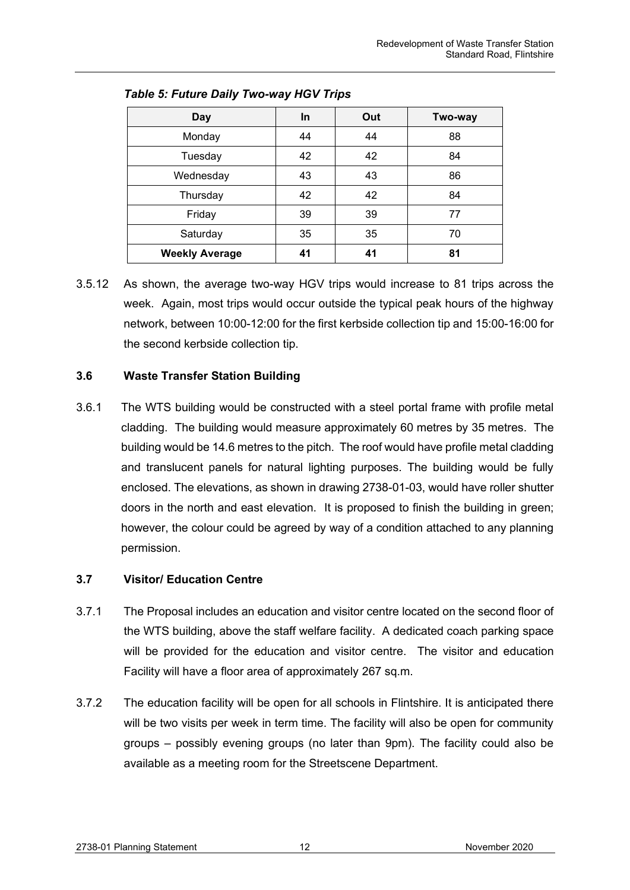| <b>Day</b>            | In. | Out | Two-way |
|-----------------------|-----|-----|---------|
| Monday                | 44  | 44  | 88      |
| Tuesday               | 42  | 42  | 84      |
| Wednesday             | 43  | 43  | 86      |
| Thursday              | 42  | 42  | 84      |
| Friday                | 39  | 39  | 77      |
| Saturday              | 35  | 35  | 70      |
| <b>Weekly Average</b> | 41  | 41  | 81      |

*Table 5: Future Daily Two-way HGV Trips*

3.5.12 As shown, the average two-way HGV trips would increase to 81 trips across the week. Again, most trips would occur outside the typical peak hours of the highway network, between 10:00-12:00 for the first kerbside collection tip and 15:00-16:00 for the second kerbside collection tip.

# <span id="page-12-0"></span>**3.6 Waste Transfer Station Building**

3.6.1 The WTS building would be constructed with a steel portal frame with profile metal cladding. The building would measure approximately 60 metres by 35 metres. The building would be 14.6 metres to the pitch. The roof would have profile metal cladding and translucent panels for natural lighting purposes. The building would be fully enclosed. The elevations, as shown in drawing 2738-01-03, would have roller shutter doors in the north and east elevation. It is proposed to finish the building in green; however, the colour could be agreed by way of a condition attached to any planning permission.

# <span id="page-12-1"></span>**3.7 Visitor/ Education Centre**

- 3.7.1 The Proposal includes an education and visitor centre located on the second floor of the WTS building, above the staff welfare facility. A dedicated coach parking space will be provided for the education and visitor centre. The visitor and education Facility will have a floor area of approximately 267 sq.m.
- 3.7.2 The education facility will be open for all schools in Flintshire. It is anticipated there will be two visits per week in term time. The facility will also be open for community groups – possibly evening groups (no later than 9pm). The facility could also be available as a meeting room for the Streetscene Department.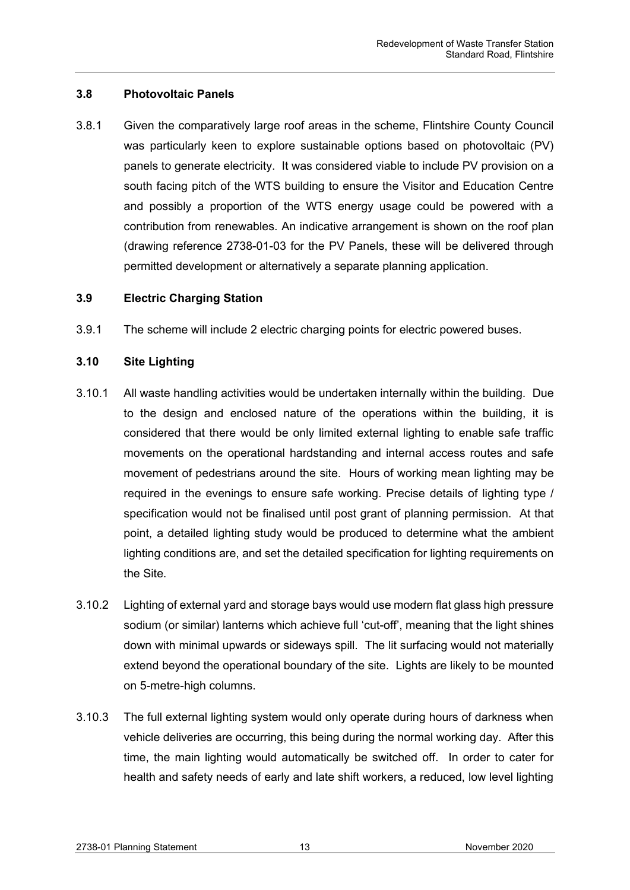# <span id="page-13-0"></span>**3.8 Photovoltaic Panels**

3.8.1 Given the comparatively large roof areas in the scheme, Flintshire County Council was particularly keen to explore sustainable options based on photovoltaic (PV) panels to generate electricity. It was considered viable to include PV provision on a south facing pitch of the WTS building to ensure the Visitor and Education Centre and possibly a proportion of the WTS energy usage could be powered with a contribution from renewables. An indicative arrangement is shown on the roof plan (drawing reference 2738-01-03 for the PV Panels, these will be delivered through permitted development or alternatively a separate planning application.

## <span id="page-13-1"></span>**3.9 Electric Charging Station**

3.9.1 The scheme will include 2 electric charging points for electric powered buses.

## <span id="page-13-2"></span>**3.10 Site Lighting**

- 3.10.1 All waste handling activities would be undertaken internally within the building. Due to the design and enclosed nature of the operations within the building, it is considered that there would be only limited external lighting to enable safe traffic movements on the operational hardstanding and internal access routes and safe movement of pedestrians around the site. Hours of working mean lighting may be required in the evenings to ensure safe working. Precise details of lighting type / specification would not be finalised until post grant of planning permission. At that point, a detailed lighting study would be produced to determine what the ambient lighting conditions are, and set the detailed specification for lighting requirements on the Site.
- 3.10.2 Lighting of external yard and storage bays would use modern flat glass high pressure sodium (or similar) lanterns which achieve full 'cut-off', meaning that the light shines down with minimal upwards or sideways spill. The lit surfacing would not materially extend beyond the operational boundary of the site. Lights are likely to be mounted on 5-metre-high columns.
- 3.10.3 The full external lighting system would only operate during hours of darkness when vehicle deliveries are occurring, this being during the normal working day. After this time, the main lighting would automatically be switched off. In order to cater for health and safety needs of early and late shift workers, a reduced, low level lighting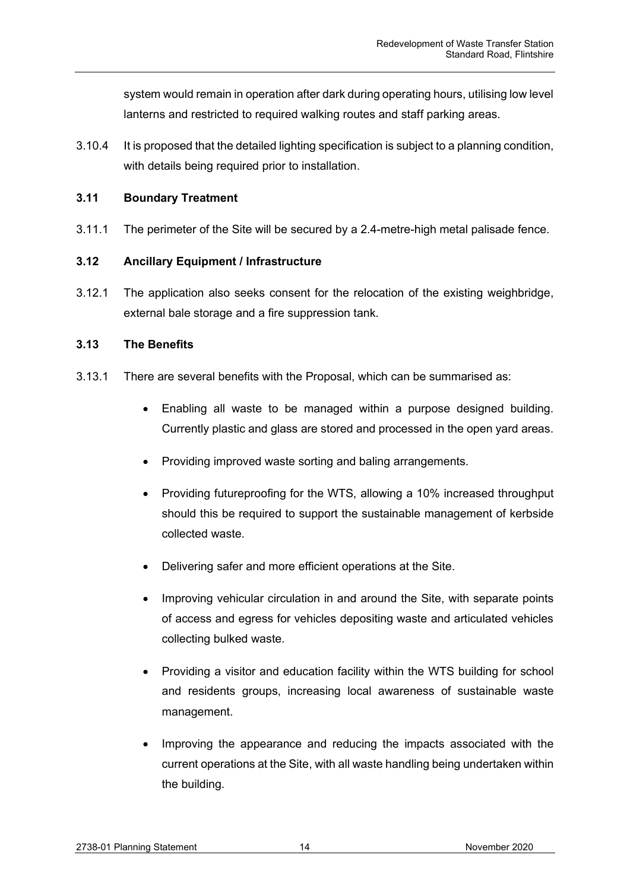system would remain in operation after dark during operating hours, utilising low level lanterns and restricted to required walking routes and staff parking areas.

3.10.4 It is proposed that the detailed lighting specification is subject to a planning condition, with details being required prior to installation.

# <span id="page-14-0"></span>**3.11 Boundary Treatment**

3.11.1 The perimeter of the Site will be secured by a 2.4-metre-high metal palisade fence.

# <span id="page-14-1"></span>**3.12 Ancillary Equipment / Infrastructure**

3.12.1 The application also seeks consent for the relocation of the existing weighbridge, external bale storage and a fire suppression tank.

# <span id="page-14-2"></span>**3.13 The Benefits**

- 3.13.1 There are several benefits with the Proposal, which can be summarised as:
	- Enabling all waste to be managed within a purpose designed building. Currently plastic and glass are stored and processed in the open yard areas.
	- Providing improved waste sorting and baling arrangements.
	- Providing futureproofing for the WTS, allowing a 10% increased throughput should this be required to support the sustainable management of kerbside collected waste.
	- Delivering safer and more efficient operations at the Site.
	- Improving vehicular circulation in and around the Site, with separate points of access and egress for vehicles depositing waste and articulated vehicles collecting bulked waste.
	- Providing a visitor and education facility within the WTS building for school and residents groups, increasing local awareness of sustainable waste management.
	- Improving the appearance and reducing the impacts associated with the current operations at the Site, with all waste handling being undertaken within the building.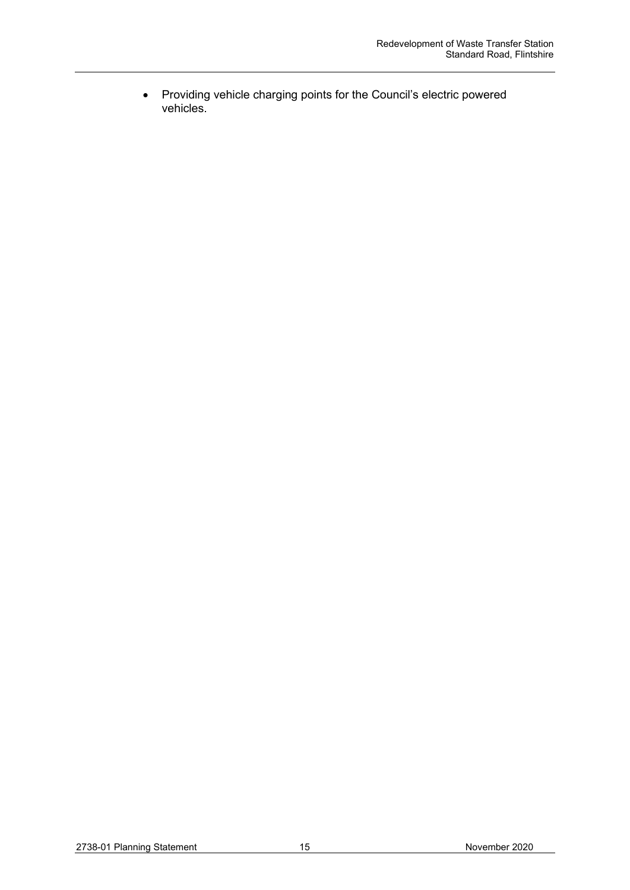• Providing vehicle charging points for the Council's electric powered vehicles.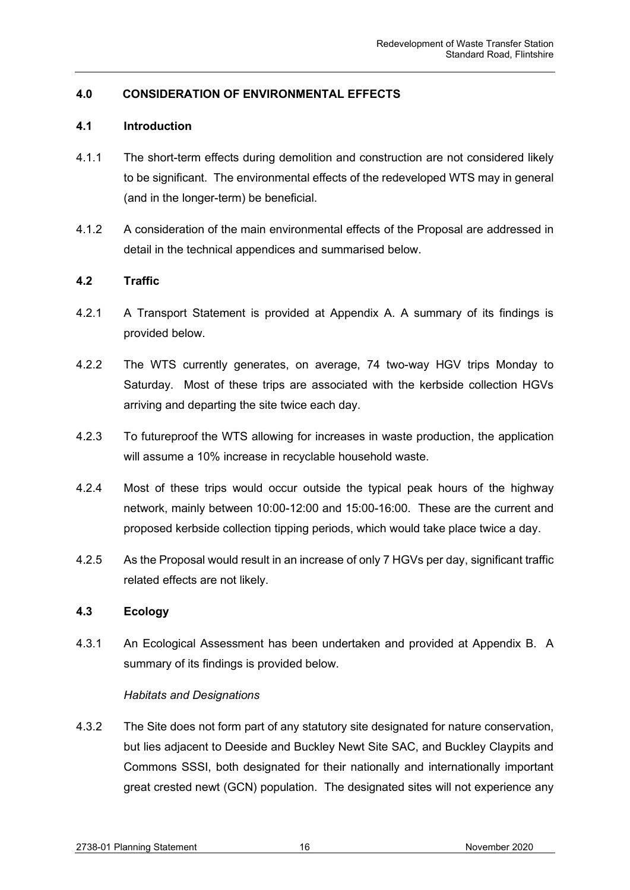# <span id="page-16-0"></span>**4.0 CONSIDERATION OF ENVIRONMENTAL EFFECTS**

## <span id="page-16-1"></span>**4.1 Introduction**

- 4.1.1 The short-term effects during demolition and construction are not considered likely to be significant. The environmental effects of the redeveloped WTS may in general (and in the longer-term) be beneficial.
- 4.1.2 A consideration of the main environmental effects of the Proposal are addressed in detail in the technical appendices and summarised below.

## <span id="page-16-2"></span>**4.2 Traffic**

- 4.2.1 A Transport Statement is provided at Appendix A. A summary of its findings is provided below.
- 4.2.2 The WTS currently generates, on average, 74 two-way HGV trips Monday to Saturday. Most of these trips are associated with the kerbside collection HGVs arriving and departing the site twice each day.
- 4.2.3 To futureproof the WTS allowing for increases in waste production, the application will assume a 10% increase in recyclable household waste.
- 4.2.4 Most of these trips would occur outside the typical peak hours of the highway network, mainly between 10:00-12:00 and 15:00-16:00. These are the current and proposed kerbside collection tipping periods, which would take place twice a day.
- 4.2.5 As the Proposal would result in an increase of only 7 HGVs per day, significant traffic related effects are not likely.

## <span id="page-16-3"></span>**4.3 Ecology**

4.3.1 An Ecological Assessment has been undertaken and provided at Appendix B. A summary of its findings is provided below.

## *Habitats and Designations*

4.3.2 The Site does not form part of any statutory site designated for nature conservation, but lies adjacent to Deeside and Buckley Newt Site SAC, and Buckley Claypits and Commons SSSI, both designated for their nationally and internationally important great crested newt (GCN) population. The designated sites will not experience any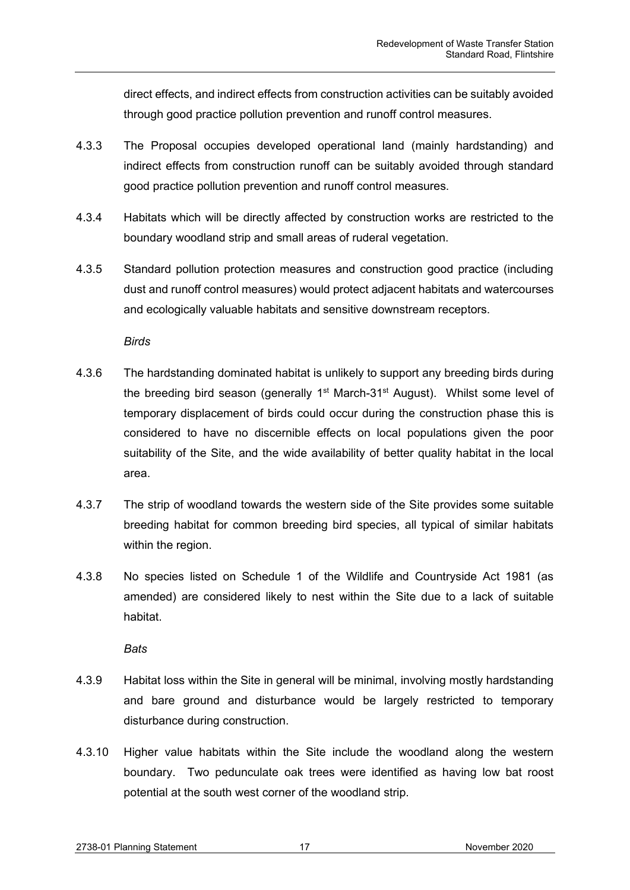direct effects, and indirect effects from construction activities can be suitably avoided through good practice pollution prevention and runoff control measures.

- 4.3.3 The Proposal occupies developed operational land (mainly hardstanding) and indirect effects from construction runoff can be suitably avoided through standard good practice pollution prevention and runoff control measures.
- 4.3.4 Habitats which will be directly affected by construction works are restricted to the boundary woodland strip and small areas of ruderal vegetation.
- 4.3.5 Standard pollution protection measures and construction good practice (including dust and runoff control measures) would protect adjacent habitats and watercourses and ecologically valuable habitats and sensitive downstream receptors.

*Birds*

- 4.3.6 The hardstanding dominated habitat is unlikely to support any breeding birds during the breeding bird season (generally 1<sup>st</sup> March-31<sup>st</sup> August). Whilst some level of temporary displacement of birds could occur during the construction phase this is considered to have no discernible effects on local populations given the poor suitability of the Site, and the wide availability of better quality habitat in the local area.
- 4.3.7 The strip of woodland towards the western side of the Site provides some suitable breeding habitat for common breeding bird species, all typical of similar habitats within the region.
- 4.3.8 No species listed on Schedule 1 of the Wildlife and Countryside Act 1981 (as amended) are considered likely to nest within the Site due to a lack of suitable habitat.

*Bats*

- 4.3.9 Habitat loss within the Site in general will be minimal, involving mostly hardstanding and bare ground and disturbance would be largely restricted to temporary disturbance during construction.
- 4.3.10 Higher value habitats within the Site include the woodland along the western boundary. Two pedunculate oak trees were identified as having low bat roost potential at the south west corner of the woodland strip.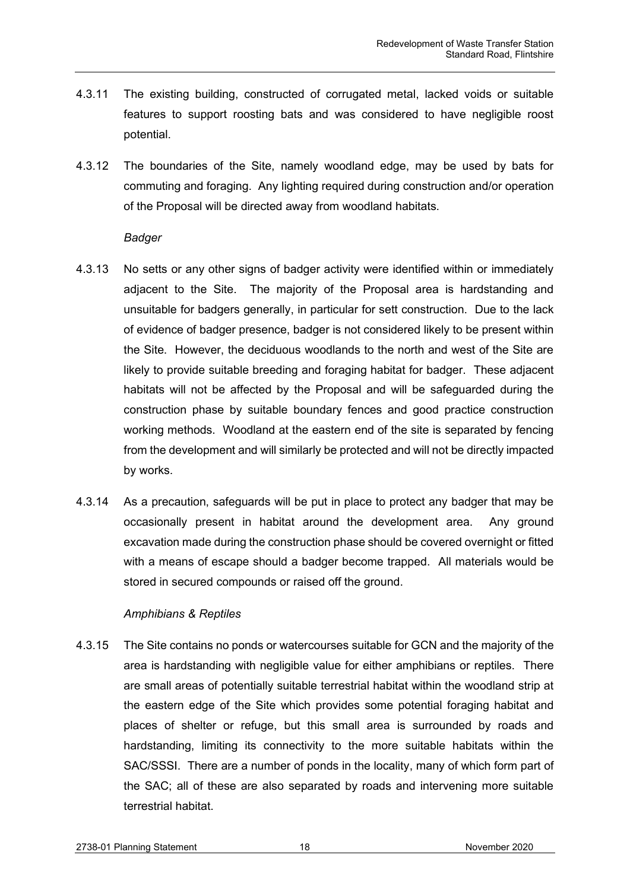- 4.3.11 The existing building, constructed of corrugated metal, lacked voids or suitable features to support roosting bats and was considered to have negligible roost potential.
- 4.3.12 The boundaries of the Site, namely woodland edge, may be used by bats for commuting and foraging. Any lighting required during construction and/or operation of the Proposal will be directed away from woodland habitats.

#### *Badger*

- 4.3.13 No setts or any other signs of badger activity were identified within or immediately adjacent to the Site. The majority of the Proposal area is hardstanding and unsuitable for badgers generally, in particular for sett construction. Due to the lack of evidence of badger presence, badger is not considered likely to be present within the Site. However, the deciduous woodlands to the north and west of the Site are likely to provide suitable breeding and foraging habitat for badger. These adjacent habitats will not be affected by the Proposal and will be safeguarded during the construction phase by suitable boundary fences and good practice construction working methods. Woodland at the eastern end of the site is separated by fencing from the development and will similarly be protected and will not be directly impacted by works.
- 4.3.14 As a precaution, safeguards will be put in place to protect any badger that may be occasionally present in habitat around the development area. Any ground excavation made during the construction phase should be covered overnight or fitted with a means of escape should a badger become trapped. All materials would be stored in secured compounds or raised off the ground.

## *Amphibians & Reptiles*

4.3.15 The Site contains no ponds or watercourses suitable for GCN and the majority of the area is hardstanding with negligible value for either amphibians or reptiles. There are small areas of potentially suitable terrestrial habitat within the woodland strip at the eastern edge of the Site which provides some potential foraging habitat and places of shelter or refuge, but this small area is surrounded by roads and hardstanding, limiting its connectivity to the more suitable habitats within the SAC/SSSI. There are a number of ponds in the locality, many of which form part of the SAC; all of these are also separated by roads and intervening more suitable terrestrial habitat.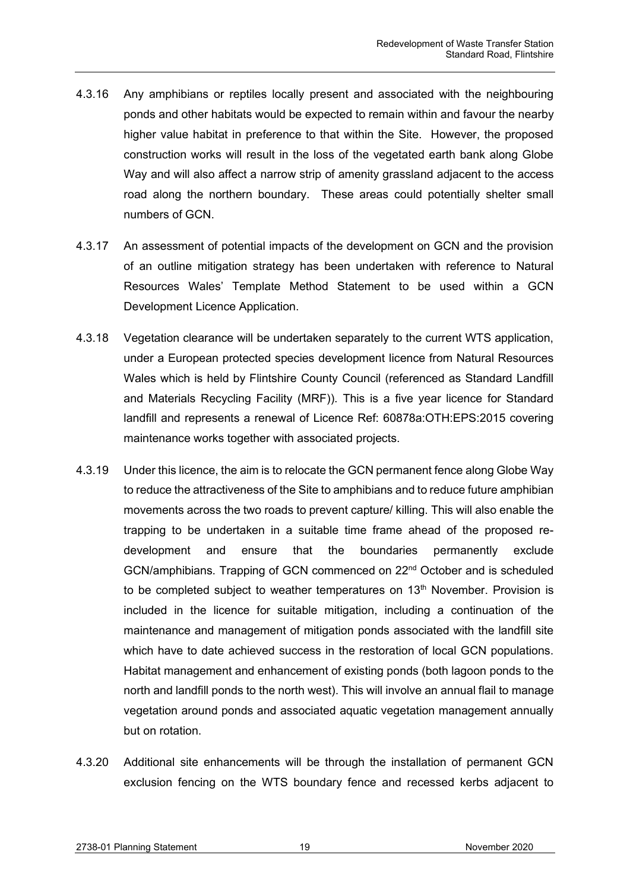- 4.3.16 Any amphibians or reptiles locally present and associated with the neighbouring ponds and other habitats would be expected to remain within and favour the nearby higher value habitat in preference to that within the Site. However, the proposed construction works will result in the loss of the vegetated earth bank along Globe Way and will also affect a narrow strip of amenity grassland adjacent to the access road along the northern boundary. These areas could potentially shelter small numbers of GCN.
- 4.3.17 An assessment of potential impacts of the development on GCN and the provision of an outline mitigation strategy has been undertaken with reference to Natural Resources Wales' Template Method Statement to be used within a GCN Development Licence Application.
- 4.3.18 Vegetation clearance will be undertaken separately to the current WTS application, under a European protected species development licence from Natural Resources Wales which is held by Flintshire County Council (referenced as Standard Landfill and Materials Recycling Facility (MRF)). This is a five year licence for Standard landfill and represents a renewal of Licence Ref: 60878a:OTH:EPS:2015 covering maintenance works together with associated projects.
- 4.3.19 Under this licence, the aim is to relocate the GCN permanent fence along Globe Way to reduce the attractiveness of the Site to amphibians and to reduce future amphibian movements across the two roads to prevent capture/ killing. This will also enable the trapping to be undertaken in a suitable time frame ahead of the proposed redevelopment and ensure that the boundaries permanently exclude GCN/amphibians. Trapping of GCN commenced on 22nd October and is scheduled to be completed subject to weather temperatures on  $13<sup>th</sup>$  November. Provision is included in the licence for suitable mitigation, including a continuation of the maintenance and management of mitigation ponds associated with the landfill site which have to date achieved success in the restoration of local GCN populations. Habitat management and enhancement of existing ponds (both lagoon ponds to the north and landfill ponds to the north west). This will involve an annual flail to manage vegetation around ponds and associated aquatic vegetation management annually but on rotation.
- 4.3.20 Additional site enhancements will be through the installation of permanent GCN exclusion fencing on the WTS boundary fence and recessed kerbs adjacent to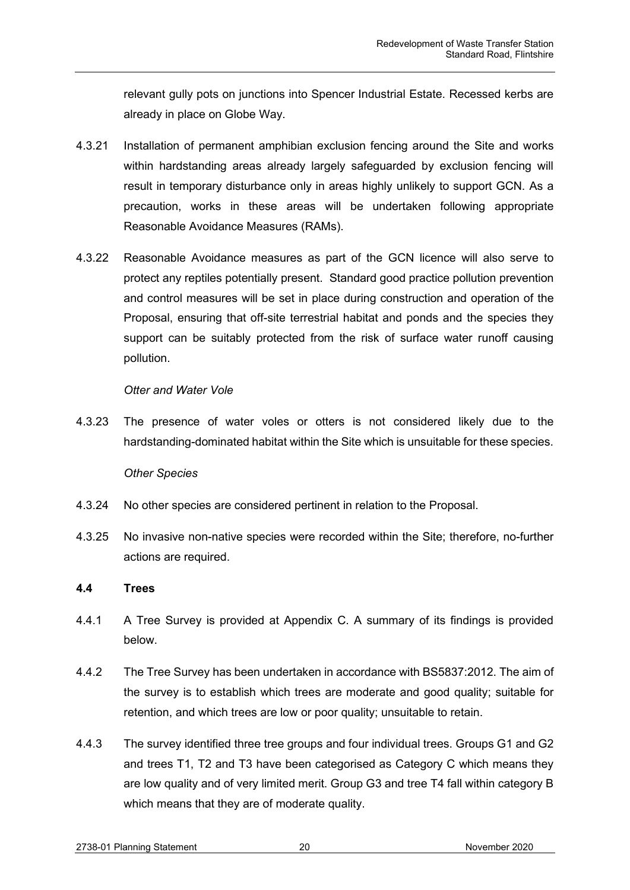relevant gully pots on junctions into Spencer Industrial Estate. Recessed kerbs are already in place on Globe Way.

- 4.3.21 Installation of permanent amphibian exclusion fencing around the Site and works within hardstanding areas already largely safeguarded by exclusion fencing will result in temporary disturbance only in areas highly unlikely to support GCN. As a precaution, works in these areas will be undertaken following appropriate Reasonable Avoidance Measures (RAMs).
- 4.3.22 Reasonable Avoidance measures as part of the GCN licence will also serve to protect any reptiles potentially present. Standard good practice pollution prevention and control measures will be set in place during construction and operation of the Proposal, ensuring that off-site terrestrial habitat and ponds and the species they support can be suitably protected from the risk of surface water runoff causing pollution.

## *Otter and Water Vole*

4.3.23 The presence of water voles or otters is not considered likely due to the hardstanding-dominated habitat within the Site which is unsuitable for these species.

## *Other Species*

- 4.3.24 No other species are considered pertinent in relation to the Proposal.
- 4.3.25 No invasive non-native species were recorded within the Site; therefore, no-further actions are required.

# <span id="page-20-0"></span>**4.4 Trees**

- 4.4.1 A Tree Survey is provided at Appendix C. A summary of its findings is provided below.
- 4.4.2 The Tree Survey has been undertaken in accordance with BS5837:2012. The aim of the survey is to establish which trees are moderate and good quality; suitable for retention, and which trees are low or poor quality; unsuitable to retain.
- 4.4.3 The survey identified three tree groups and four individual trees. Groups G1 and G2 and trees T1, T2 and T3 have been categorised as Category C which means they are low quality and of very limited merit. Group G3 and tree T4 fall within category B which means that they are of moderate quality.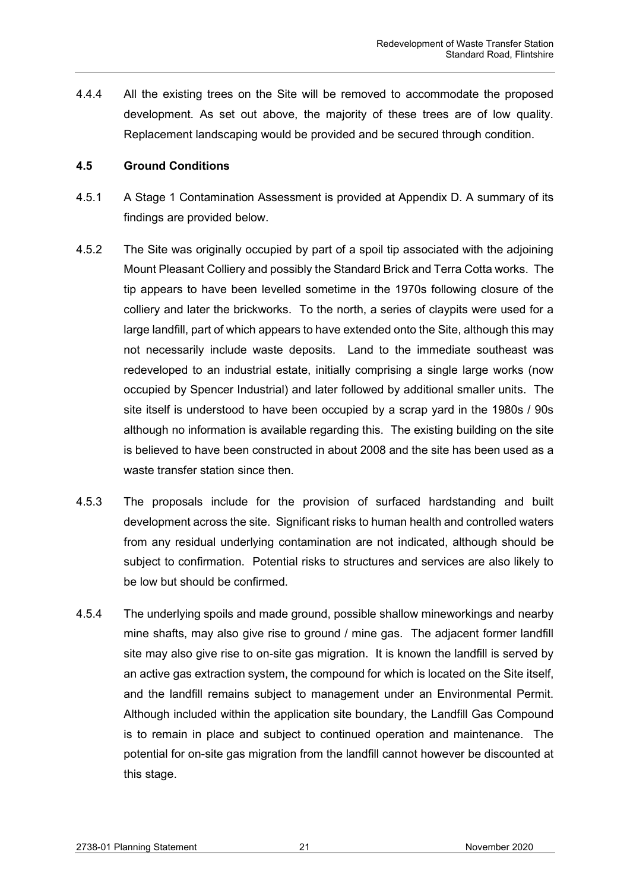4.4.4 All the existing trees on the Site will be removed to accommodate the proposed development. As set out above, the majority of these trees are of low quality. Replacement landscaping would be provided and be secured through condition.

## <span id="page-21-0"></span>**4.5 Ground Conditions**

- 4.5.1 A Stage 1 Contamination Assessment is provided at Appendix D. A summary of its findings are provided below.
- 4.5.2 The Site was originally occupied by part of a spoil tip associated with the adjoining Mount Pleasant Colliery and possibly the Standard Brick and Terra Cotta works. The tip appears to have been levelled sometime in the 1970s following closure of the colliery and later the brickworks. To the north, a series of claypits were used for a large landfill, part of which appears to have extended onto the Site, although this may not necessarily include waste deposits. Land to the immediate southeast was redeveloped to an industrial estate, initially comprising a single large works (now occupied by Spencer Industrial) and later followed by additional smaller units. The site itself is understood to have been occupied by a scrap yard in the 1980s / 90s although no information is available regarding this. The existing building on the site is believed to have been constructed in about 2008 and the site has been used as a waste transfer station since then.
- 4.5.3 The proposals include for the provision of surfaced hardstanding and built development across the site. Significant risks to human health and controlled waters from any residual underlying contamination are not indicated, although should be subject to confirmation. Potential risks to structures and services are also likely to be low but should be confirmed.
- 4.5.4 The underlying spoils and made ground, possible shallow mineworkings and nearby mine shafts, may also give rise to ground / mine gas. The adjacent former landfill site may also give rise to on-site gas migration. It is known the landfill is served by an active gas extraction system, the compound for which is located on the Site itself, and the landfill remains subject to management under an Environmental Permit. Although included within the application site boundary, the Landfill Gas Compound is to remain in place and subject to continued operation and maintenance. The potential for on-site gas migration from the landfill cannot however be discounted at this stage.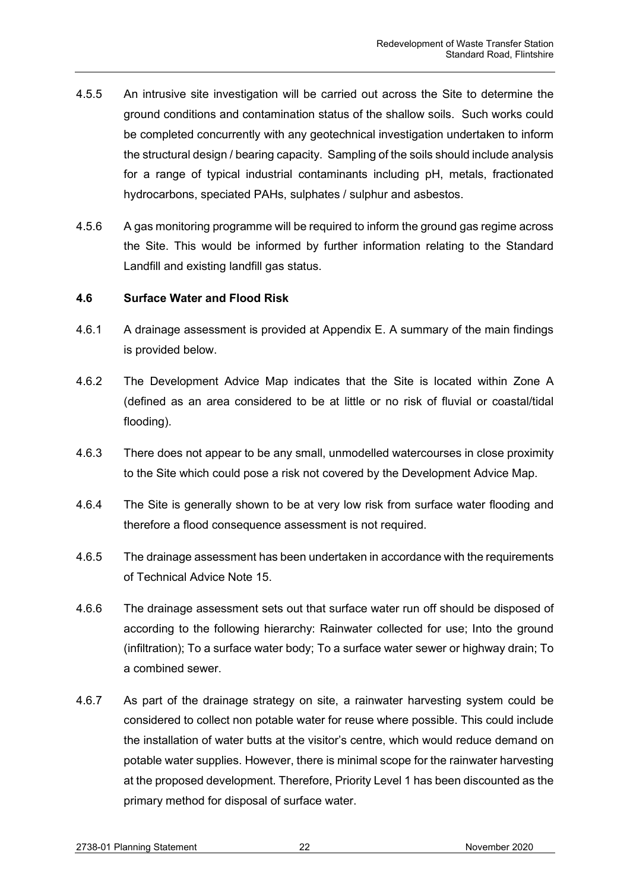- 4.5.5 An intrusive site investigation will be carried out across the Site to determine the ground conditions and contamination status of the shallow soils. Such works could be completed concurrently with any geotechnical investigation undertaken to inform the structural design / bearing capacity. Sampling of the soils should include analysis for a range of typical industrial contaminants including pH, metals, fractionated hydrocarbons, speciated PAHs, sulphates / sulphur and asbestos.
- 4.5.6 A gas monitoring programme will be required to inform the ground gas regime across the Site. This would be informed by further information relating to the Standard Landfill and existing landfill gas status.

## <span id="page-22-0"></span>**4.6 Surface Water and Flood Risk**

- 4.6.1 A drainage assessment is provided at Appendix E. A summary of the main findings is provided below.
- 4.6.2 The Development Advice Map indicates that the Site is located within Zone A (defined as an area considered to be at little or no risk of fluvial or coastal/tidal flooding).
- 4.6.3 There does not appear to be any small, unmodelled watercourses in close proximity to the Site which could pose a risk not covered by the Development Advice Map.
- 4.6.4 The Site is generally shown to be at very low risk from surface water flooding and therefore a flood consequence assessment is not required.
- 4.6.5 The drainage assessment has been undertaken in accordance with the requirements of Technical Advice Note 15.
- 4.6.6 The drainage assessment sets out that surface water run off should be disposed of according to the following hierarchy: Rainwater collected for use; Into the ground (infiltration); To a surface water body; To a surface water sewer or highway drain; To a combined sewer.
- 4.6.7 As part of the drainage strategy on site, a rainwater harvesting system could be considered to collect non potable water for reuse where possible. This could include the installation of water butts at the visitor's centre, which would reduce demand on potable water supplies. However, there is minimal scope for the rainwater harvesting at the proposed development. Therefore, Priority Level 1 has been discounted as the primary method for disposal of surface water.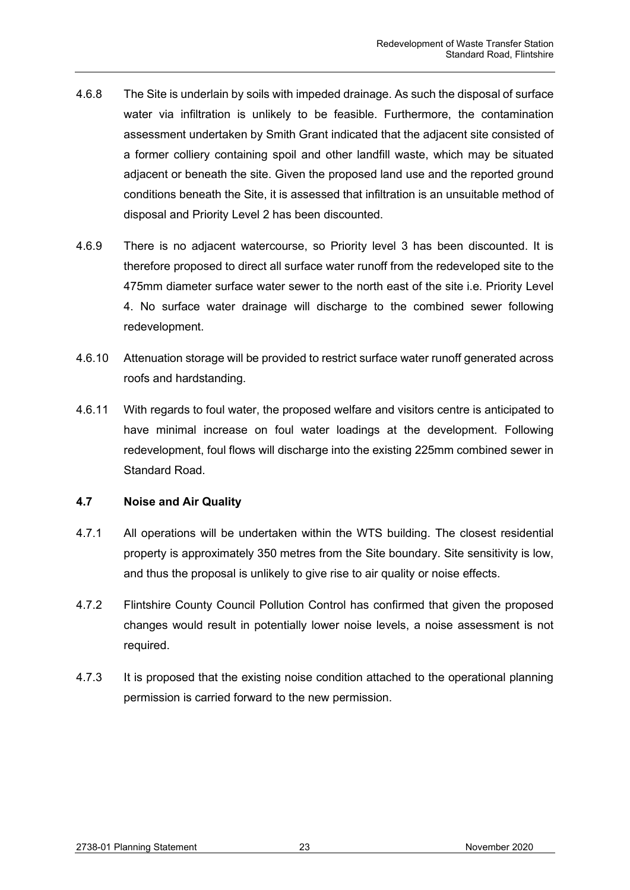- 4.6.8 The Site is underlain by soils with impeded drainage. As such the disposal of surface water via infiltration is unlikely to be feasible. Furthermore, the contamination assessment undertaken by Smith Grant indicated that the adjacent site consisted of a former colliery containing spoil and other landfill waste, which may be situated adjacent or beneath the site. Given the proposed land use and the reported ground conditions beneath the Site, it is assessed that infiltration is an unsuitable method of disposal and Priority Level 2 has been discounted.
- 4.6.9 There is no adjacent watercourse, so Priority level 3 has been discounted. It is therefore proposed to direct all surface water runoff from the redeveloped site to the 475mm diameter surface water sewer to the north east of the site i.e. Priority Level 4. No surface water drainage will discharge to the combined sewer following redevelopment.
- 4.6.10 Attenuation storage will be provided to restrict surface water runoff generated across roofs and hardstanding.
- 4.6.11 With regards to foul water, the proposed welfare and visitors centre is anticipated to have minimal increase on foul water loadings at the development. Following redevelopment, foul flows will discharge into the existing 225mm combined sewer in Standard Road.

## <span id="page-23-0"></span>**4.7 Noise and Air Quality**

- 4.7.1 All operations will be undertaken within the WTS building. The closest residential property is approximately 350 metres from the Site boundary. Site sensitivity is low, and thus the proposal is unlikely to give rise to air quality or noise effects.
- 4.7.2 Flintshire County Council Pollution Control has confirmed that given the proposed changes would result in potentially lower noise levels, a noise assessment is not required.
- 4.7.3 It is proposed that the existing noise condition attached to the operational planning permission is carried forward to the new permission.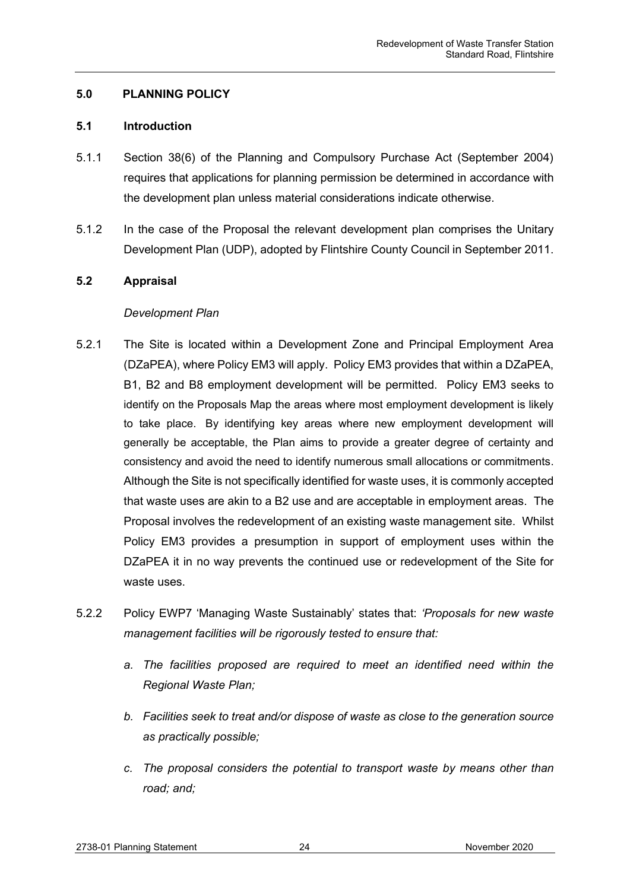## <span id="page-24-0"></span>**5.0 PLANNING POLICY**

#### <span id="page-24-1"></span>**5.1 Introduction**

- 5.1.1 Section 38(6) of the Planning and Compulsory Purchase Act (September 2004) requires that applications for planning permission be determined in accordance with the development plan unless material considerations indicate otherwise.
- 5.1.2 In the case of the Proposal the relevant development plan comprises the Unitary Development Plan (UDP), adopted by Flintshire County Council in September 2011.

## <span id="page-24-2"></span>**5.2 Appraisal**

## *Development Plan*

- 5.2.1 The Site is located within a Development Zone and Principal Employment Area (DZaPEA), where Policy EM3 will apply. Policy EM3 provides that within a DZaPEA, B1, B2 and B8 employment development will be permitted. Policy EM3 seeks to identify on the Proposals Map the areas where most employment development is likely to take place. By identifying key areas where new employment development will generally be acceptable, the Plan aims to provide a greater degree of certainty and consistency and avoid the need to identify numerous small allocations or commitments. Although the Site is not specifically identified for waste uses, it is commonly accepted that waste uses are akin to a B2 use and are acceptable in employment areas. The Proposal involves the redevelopment of an existing waste management site. Whilst Policy EM3 provides a presumption in support of employment uses within the DZaPEA it in no way prevents the continued use or redevelopment of the Site for waste uses.
- 5.2.2 Policy EWP7 'Managing Waste Sustainably' states that: *'Proposals for new waste management facilities will be rigorously tested to ensure that:*
	- *a. The facilities proposed are required to meet an identified need within the Regional Waste Plan;*
	- *b. Facilities seek to treat and/or dispose of waste as close to the generation source as practically possible;*
	- *c. The proposal considers the potential to transport waste by means other than road; and;*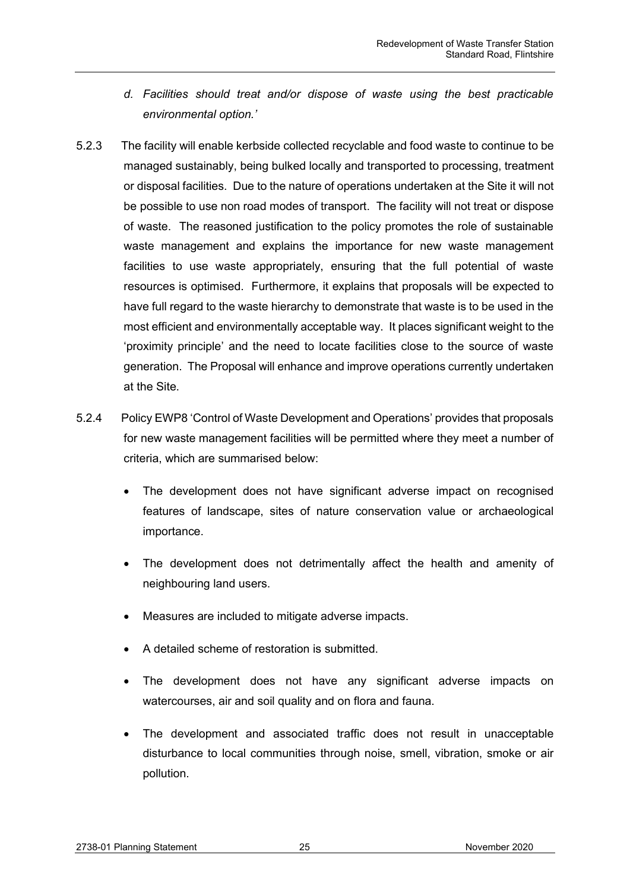- *d. Facilities should treat and/or dispose of waste using the best practicable environmental option.'*
- 5.2.3 The facility will enable kerbside collected recyclable and food waste to continue to be managed sustainably, being bulked locally and transported to processing, treatment or disposal facilities. Due to the nature of operations undertaken at the Site it will not be possible to use non road modes of transport. The facility will not treat or dispose of waste. The reasoned justification to the policy promotes the role of sustainable waste management and explains the importance for new waste management facilities to use waste appropriately, ensuring that the full potential of waste resources is optimised. Furthermore, it explains that proposals will be expected to have full regard to the waste hierarchy to demonstrate that waste is to be used in the most efficient and environmentally acceptable way. It places significant weight to the 'proximity principle' and the need to locate facilities close to the source of waste generation. The Proposal will enhance and improve operations currently undertaken at the Site.
- 5.2.4 Policy EWP8 'Control of Waste Development and Operations' provides that proposals for new waste management facilities will be permitted where they meet a number of criteria, which are summarised below:
	- The development does not have significant adverse impact on recognised features of landscape, sites of nature conservation value or archaeological importance.
	- The development does not detrimentally affect the health and amenity of neighbouring land users.
	- Measures are included to mitigate adverse impacts.
	- A detailed scheme of restoration is submitted.
	- The development does not have any significant adverse impacts on watercourses, air and soil quality and on flora and fauna.
	- The development and associated traffic does not result in unacceptable disturbance to local communities through noise, smell, vibration, smoke or air pollution.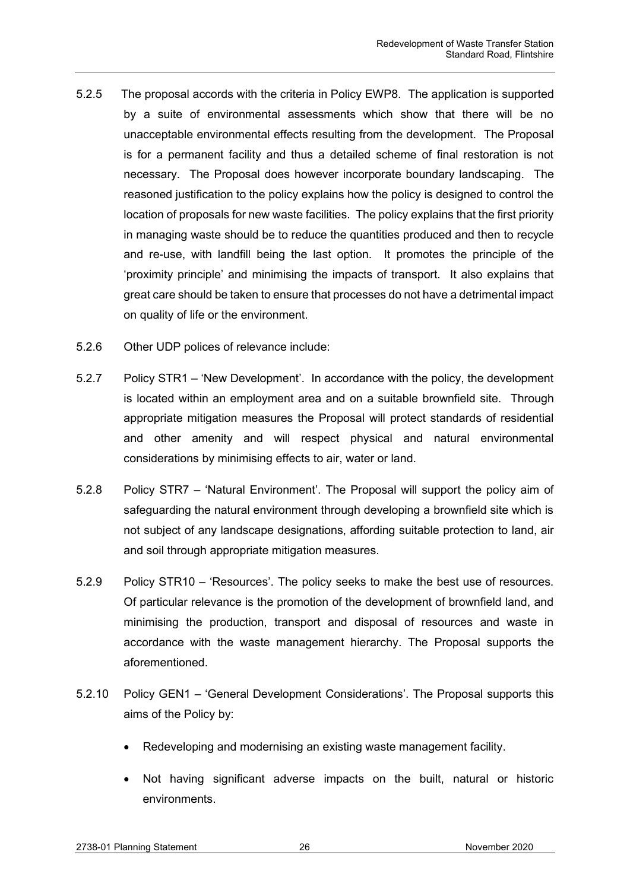- 5.2.5 The proposal accords with the criteria in Policy EWP8. The application is supported by a suite of environmental assessments which show that there will be no unacceptable environmental effects resulting from the development. The Proposal is for a permanent facility and thus a detailed scheme of final restoration is not necessary. The Proposal does however incorporate boundary landscaping. The reasoned justification to the policy explains how the policy is designed to control the location of proposals for new waste facilities. The policy explains that the first priority in managing waste should be to reduce the quantities produced and then to recycle and re-use, with landfill being the last option. It promotes the principle of the 'proximity principle' and minimising the impacts of transport. It also explains that great care should be taken to ensure that processes do not have a detrimental impact on quality of life or the environment.
- 5.2.6 Other UDP polices of relevance include:
- 5.2.7 Policy STR1 'New Development'. In accordance with the policy, the development is located within an employment area and on a suitable brownfield site. Through appropriate mitigation measures the Proposal will protect standards of residential and other amenity and will respect physical and natural environmental considerations by minimising effects to air, water or land.
- 5.2.8 Policy STR7 'Natural Environment'. The Proposal will support the policy aim of safeguarding the natural environment through developing a brownfield site which is not subject of any landscape designations, affording suitable protection to land, air and soil through appropriate mitigation measures.
- 5.2.9 Policy STR10 'Resources'. The policy seeks to make the best use of resources. Of particular relevance is the promotion of the development of brownfield land, and minimising the production, transport and disposal of resources and waste in accordance with the waste management hierarchy. The Proposal supports the aforementioned.
- 5.2.10 Policy GEN1 'General Development Considerations'. The Proposal supports this aims of the Policy by:
	- Redeveloping and modernising an existing waste management facility.
	- Not having significant adverse impacts on the built, natural or historic environments.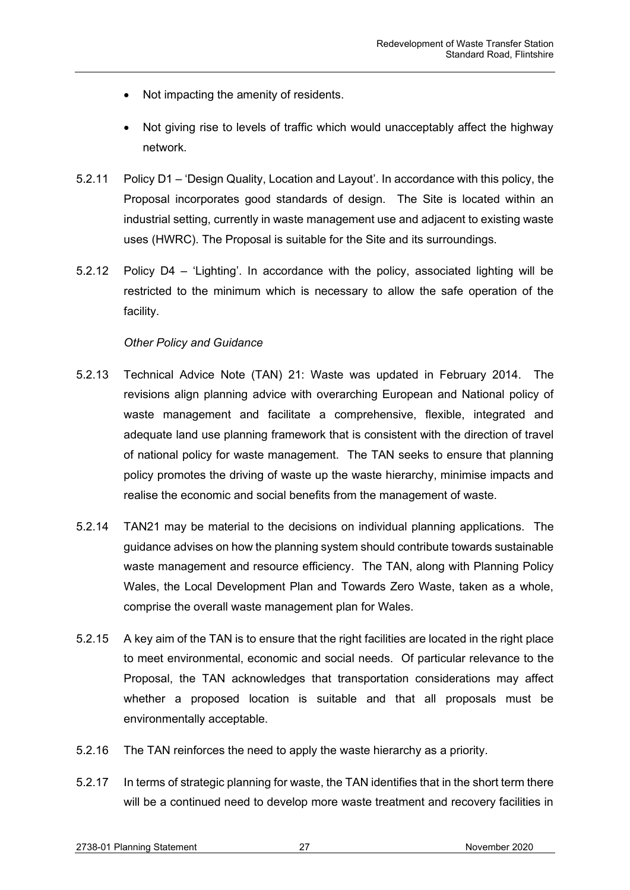- Not impacting the amenity of residents.
- Not giving rise to levels of traffic which would unacceptably affect the highway network.
- 5.2.11 Policy D1 'Design Quality, Location and Layout'. In accordance with this policy, the Proposal incorporates good standards of design. The Site is located within an industrial setting, currently in waste management use and adjacent to existing waste uses (HWRC). The Proposal is suitable for the Site and its surroundings.
- 5.2.12 Policy D4 'Lighting'. In accordance with the policy, associated lighting will be restricted to the minimum which is necessary to allow the safe operation of the facility.

## *Other Policy and Guidance*

- 5.2.13 Technical Advice Note (TAN) 21: Waste was updated in February 2014. The revisions align planning advice with overarching European and National policy of waste management and facilitate a comprehensive, flexible, integrated and adequate land use planning framework that is consistent with the direction of travel of national policy for waste management. The TAN seeks to ensure that planning policy promotes the driving of waste up the waste hierarchy, minimise impacts and realise the economic and social benefits from the management of waste.
- 5.2.14 TAN21 may be material to the decisions on individual planning applications. The guidance advises on how the planning system should contribute towards sustainable waste management and resource efficiency. The TAN, along with Planning Policy Wales, the Local Development Plan and Towards Zero Waste, taken as a whole, comprise the overall waste management plan for Wales.
- 5.2.15 A key aim of the TAN is to ensure that the right facilities are located in the right place to meet environmental, economic and social needs. Of particular relevance to the Proposal, the TAN acknowledges that transportation considerations may affect whether a proposed location is suitable and that all proposals must be environmentally acceptable.
- 5.2.16 The TAN reinforces the need to apply the waste hierarchy as a priority.
- 5.2.17 In terms of strategic planning for waste, the TAN identifies that in the short term there will be a continued need to develop more waste treatment and recovery facilities in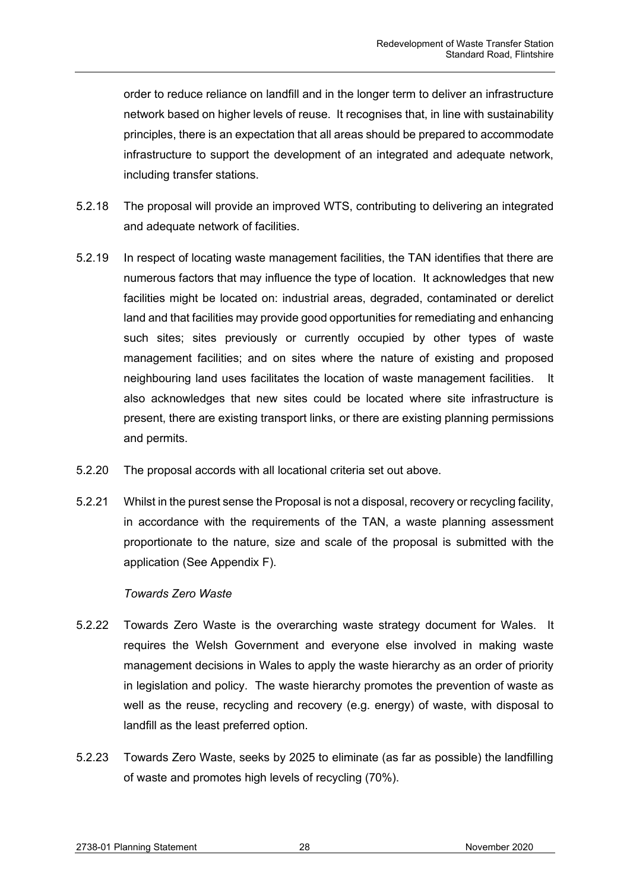order to reduce reliance on landfill and in the longer term to deliver an infrastructure network based on higher levels of reuse. It recognises that, in line with sustainability principles, there is an expectation that all areas should be prepared to accommodate infrastructure to support the development of an integrated and adequate network, including transfer stations.

- 5.2.18 The proposal will provide an improved WTS, contributing to delivering an integrated and adequate network of facilities.
- 5.2.19 In respect of locating waste management facilities, the TAN identifies that there are numerous factors that may influence the type of location. It acknowledges that new facilities might be located on: industrial areas, degraded, contaminated or derelict land and that facilities may provide good opportunities for remediating and enhancing such sites; sites previously or currently occupied by other types of waste management facilities; and on sites where the nature of existing and proposed neighbouring land uses facilitates the location of waste management facilities. It also acknowledges that new sites could be located where site infrastructure is present, there are existing transport links, or there are existing planning permissions and permits.
- 5.2.20 The proposal accords with all locational criteria set out above.
- 5.2.21 Whilst in the purest sense the Proposal is not a disposal, recovery or recycling facility, in accordance with the requirements of the TAN, a waste planning assessment proportionate to the nature, size and scale of the proposal is submitted with the application (See Appendix F).

## *Towards Zero Waste*

- 5.2.22 Towards Zero Waste is the overarching waste strategy document for Wales. It requires the Welsh Government and everyone else involved in making waste management decisions in Wales to apply the waste hierarchy as an order of priority in legislation and policy. The waste hierarchy promotes the prevention of waste as well as the reuse, recycling and recovery (e.g. energy) of waste, with disposal to landfill as the least preferred option.
- 5.2.23 Towards Zero Waste, seeks by 2025 to eliminate (as far as possible) the landfilling of waste and promotes high levels of recycling (70%).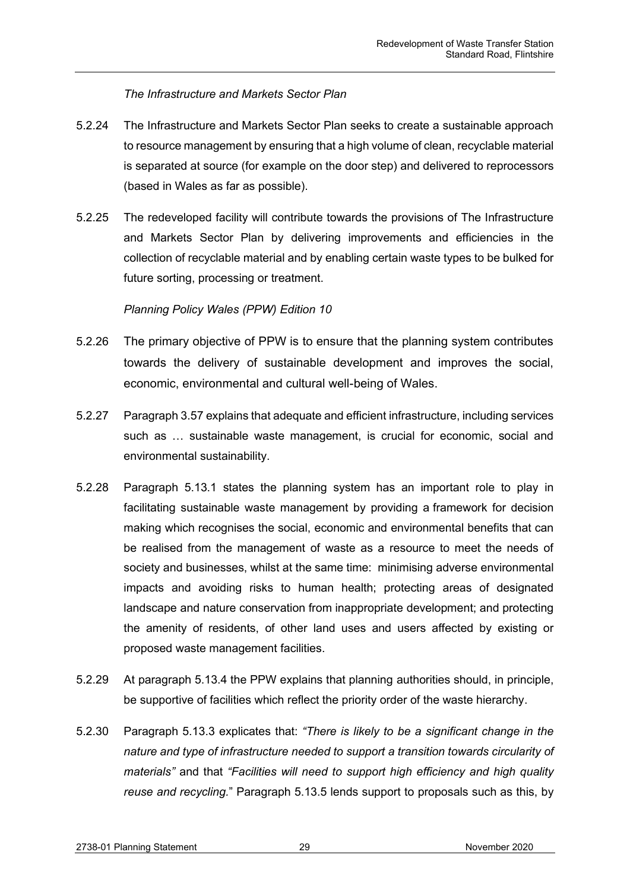# *The Infrastructure and Markets Sector Plan*

- 5.2.24 The Infrastructure and Markets Sector Plan seeks to create a sustainable approach to resource management by ensuring that a high volume of clean, recyclable material is separated at source (for example on the door step) and delivered to reprocessors (based in Wales as far as possible).
- 5.2.25 The redeveloped facility will contribute towards the provisions of The Infrastructure and Markets Sector Plan by delivering improvements and efficiencies in the collection of recyclable material and by enabling certain waste types to be bulked for future sorting, processing or treatment.

# *Planning Policy Wales (PPW) Edition 10*

- 5.2.26 The primary objective of PPW is to ensure that the planning system contributes towards the delivery of sustainable development and improves the social, economic, environmental and cultural well-being of Wales.
- 5.2.27 Paragraph 3.57 explains that adequate and efficient infrastructure, including services such as … sustainable waste management, is crucial for economic, social and environmental sustainability.
- 5.2.28 Paragraph 5.13.1 states the planning system has an important role to play in facilitating sustainable waste management by providing a framework for decision making which recognises the social, economic and environmental benefits that can be realised from the management of waste as a resource to meet the needs of society and businesses, whilst at the same time: minimising adverse environmental impacts and avoiding risks to human health; protecting areas of designated landscape and nature conservation from inappropriate development; and protecting the amenity of residents, of other land uses and users affected by existing or proposed waste management facilities.
- 5.2.29 At paragraph 5.13.4 the PPW explains that planning authorities should, in principle, be supportive of facilities which reflect the priority order of the waste hierarchy.
- 5.2.30 Paragraph 5.13.3 explicates that: *"There is likely to be a significant change in the nature and type of infrastructure needed to support a transition towards circularity of materials"* and that *"Facilities will need to support high efficiency and high quality reuse and recycling.*" Paragraph 5.13.5 lends support to proposals such as this, by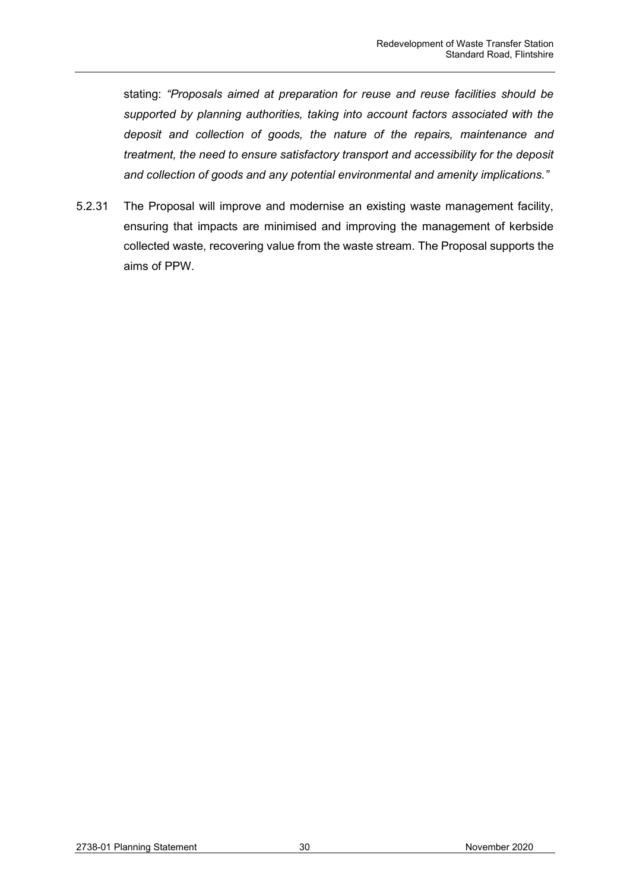stating: *"Proposals aimed at preparation for reuse and reuse facilities should be supported by planning authorities, taking into account factors associated with the deposit and collection of goods, the nature of the repairs, maintenance and treatment, the need to ensure satisfactory transport and accessibility for the deposit and collection of goods and any potential environmental and amenity implications."*

5.2.31 The Proposal will improve and modernise an existing waste management facility, ensuring that impacts are minimised and improving the management of kerbside collected waste, recovering value from the waste stream. The Proposal supports the aims of PPW.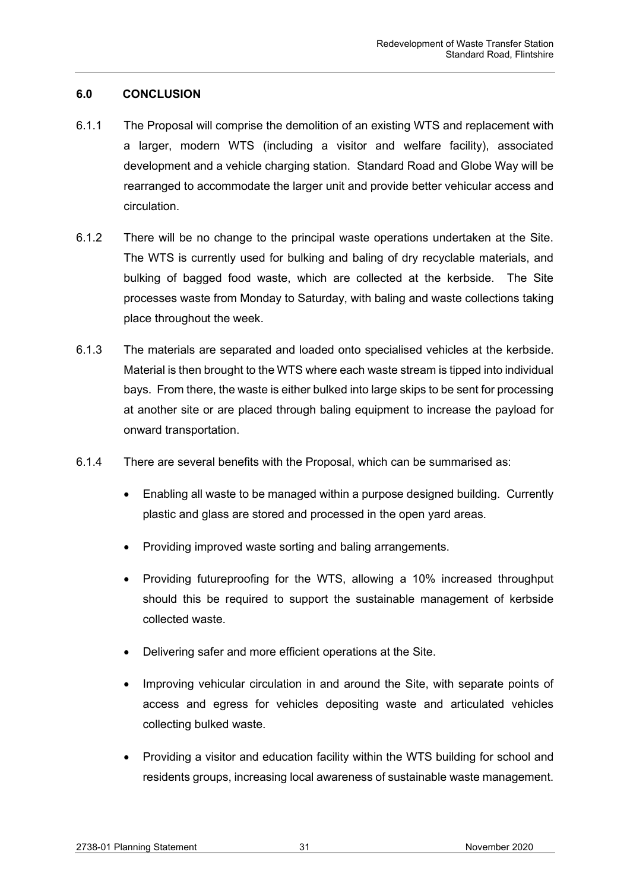# <span id="page-31-0"></span>**6.0 CONCLUSION**

- 6.1.1 The Proposal will comprise the demolition of an existing WTS and replacement with a larger, modern WTS (including a visitor and welfare facility), associated development and a vehicle charging station. Standard Road and Globe Way will be rearranged to accommodate the larger unit and provide better vehicular access and circulation.
- 6.1.2 There will be no change to the principal waste operations undertaken at the Site. The WTS is currently used for bulking and baling of dry recyclable materials, and bulking of bagged food waste, which are collected at the kerbside. The Site processes waste from Monday to Saturday, with baling and waste collections taking place throughout the week.
- 6.1.3 The materials are separated and loaded onto specialised vehicles at the kerbside. Material is then brought to the WTS where each waste stream is tipped into individual bays. From there, the waste is either bulked into large skips to be sent for processing at another site or are placed through baling equipment to increase the payload for onward transportation.
- 6.1.4 There are several benefits with the Proposal, which can be summarised as:
	- Enabling all waste to be managed within a purpose designed building. Currently plastic and glass are stored and processed in the open yard areas.
	- Providing improved waste sorting and baling arrangements.
	- Providing futureproofing for the WTS, allowing a 10% increased throughput should this be required to support the sustainable management of kerbside collected waste.
	- Delivering safer and more efficient operations at the Site.
	- Improving vehicular circulation in and around the Site, with separate points of access and egress for vehicles depositing waste and articulated vehicles collecting bulked waste.
	- Providing a visitor and education facility within the WTS building for school and residents groups, increasing local awareness of sustainable waste management.